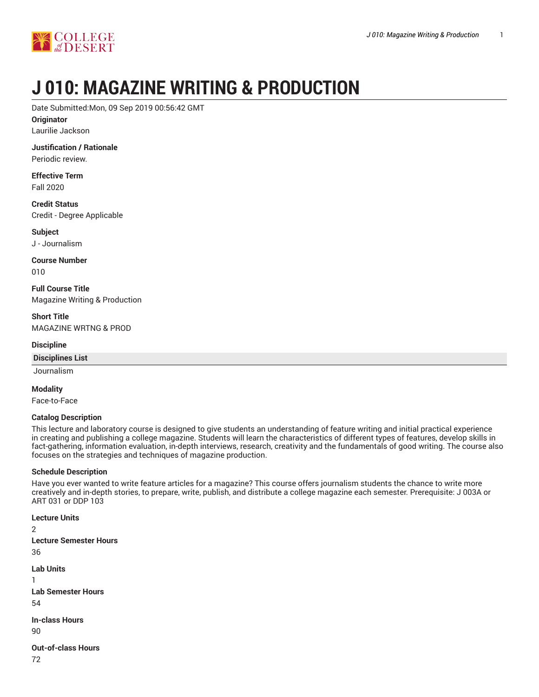

# **J 010: MAGAZINE WRITING & PRODUCTION**

Date Submitted:Mon, 09 Sep 2019 00:56:42 GMT

**Originator**

Laurilie Jackson

**Justification / Rationale** Periodic review.

**Effective Term** Fall 2020

**Credit Status** Credit - Degree Applicable

**Subject** J - Journalism

**Course Number** 010

**Full Course Title** Magazine Writing & Production

**Short Title** MAGAZINE WRTNG & PROD

**Discipline**

**Disciplines List**

Journalism

**Modality**

Face-to-Face

#### **Catalog Description**

This lecture and laboratory course is designed to give students an understanding of feature writing and initial practical experience in creating and publishing a college magazine. Students will learn the characteristics of different types of features, develop skills in fact-gathering, information evaluation, in-depth interviews, research, creativity and the fundamentals of good writing. The course also focuses on the strategies and techniques of magazine production.

#### **Schedule Description**

Have you ever wanted to write feature articles for a magazine? This course offers journalism students the chance to write more creatively and in-depth stories, to prepare, write, publish, and distribute a college magazine each semester. Prerequisite: J 003A or ART 031 or DDP 103

```
Lecture Units
2
Lecture Semester Hours
36
Lab Units
1
Lab Semester Hours
54
In-class Hours
90
Out-of-class Hours
```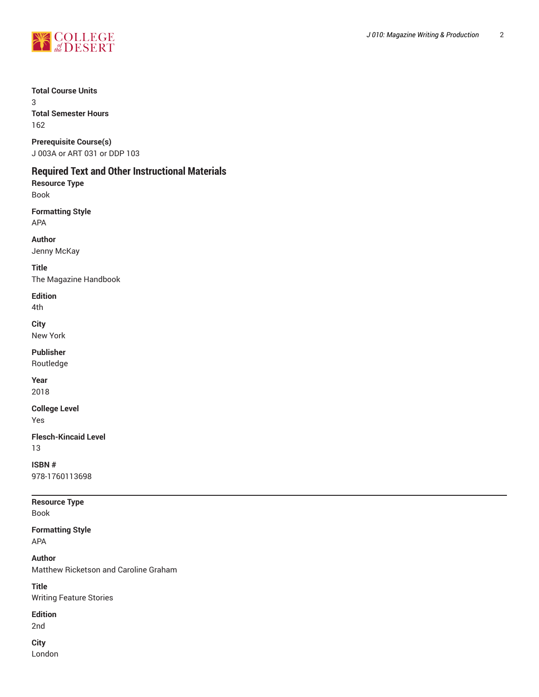

#### **Total Course Units**

3 **Total Semester Hours** 162

## **Prerequisite Course(s)**

J 003A or ART 031 or DDP 103

## **Required Text and Other Instructional Materials**

**Resource Type** Book

**Formatting Style** APA

**Author** Jenny McKay

**Title** The Magazine Handbook

## **Edition**

4th

**City**

New York

**Publisher**

Routledge

**Year** 2018

**College Level**

Yes

**Flesch-Kincaid Level** 13

**ISBN #** 978-1760113698

**Resource Type** Book

**Formatting Style** APA

**Author** Matthew Ricketson and Caroline Graham

**Title** Writing Feature Stories

## **Edition**

2nd

**City** London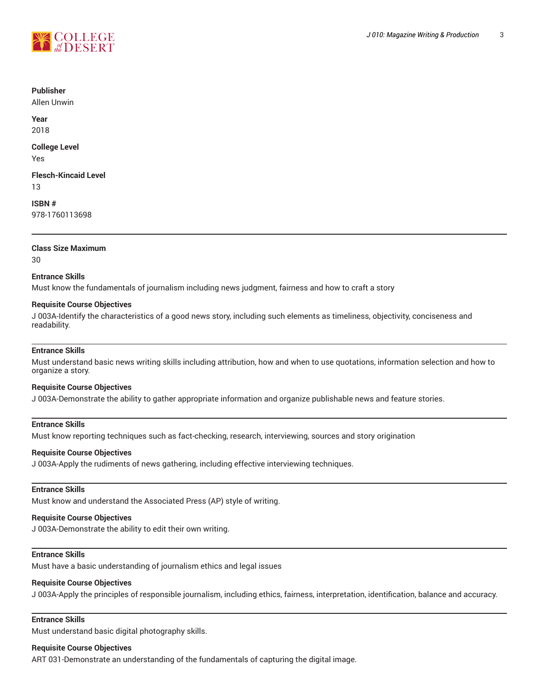

#### **Publisher**

Allen Unwin

**Year** 2018

**College Level** Yes

**Flesch-Kincaid Level** 13

**ISBN #** 978-1760113698

## **Class Size Maximum**

30

#### **Entrance Skills**

Must know the fundamentals of journalism including news judgment, fairness and how to craft a story

#### **Requisite Course Objectives**

J 003A-Identify the characteristics of a good news story, including such elements as timeliness, objectivity, conciseness and readability.

#### **Entrance Skills**

Must understand basic news writing skills including attribution, how and when to use quotations, information selection and how to organize a story.

#### **Requisite Course Objectives**

J 003A-Demonstrate the ability to gather appropriate information and organize publishable news and feature stories.

#### **Entrance Skills**

Must know reporting techniques such as fact-checking, research, interviewing, sources and story origination

#### **Requisite Course Objectives**

J 003A-Apply the rudiments of news gathering, including effective interviewing techniques.

#### **Entrance Skills**

Must know and understand the Associated Press (AP) style of writing.

#### **Requisite Course Objectives**

J 003A-Demonstrate the ability to edit their own writing.

#### **Entrance Skills**

Must have a basic understanding of journalism ethics and legal issues

#### **Requisite Course Objectives**

J 003A-Apply the principles of responsible journalism, including ethics, fairness, interpretation, identification, balance and accuracy.

#### **Entrance Skills**

Must understand basic digital photography skills.

#### **Requisite Course Objectives**

ART 031-Demonstrate an understanding of the fundamentals of capturing the digital image.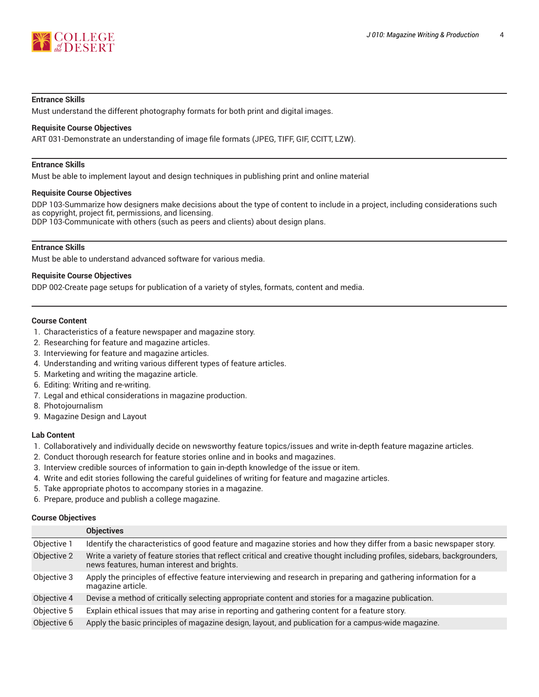

#### **Entrance Skills**

Must understand the different photography formats for both print and digital images.

#### **Requisite Course Objectives**

ART 031-Demonstrate an understanding of image file formats (JPEG, TIFF, GIF, CCITT, LZW).

#### **Entrance Skills**

Must be able to implement layout and design techniques in publishing print and online material

#### **Requisite Course Objectives**

DDP 103-Summarize how designers make decisions about the type of content to include in a project, including considerations such as copyright, project fit, permissions, and licensing. DDP 103-Communicate with others (such as peers and clients) about design plans.

## **Entrance Skills**

Must be able to understand advanced software for various media.

#### **Requisite Course Objectives**

DDP 002-Create page setups for publication of a variety of styles, formats, content and media.

#### **Course Content**

- 1. Characteristics of a feature newspaper and magazine story.
- 2. Researching for feature and magazine articles.
- 3. Interviewing for feature and magazine articles.
- 4. Understanding and writing various different types of feature articles.
- 5. Marketing and writing the magazine article.
- 6. Editing: Writing and re-writing.
- 7. Legal and ethical considerations in magazine production.
- 8. Photojournalism
- 9. Magazine Design and Layout

#### **Lab Content**

- 1. Collaboratively and individually decide on newsworthy feature topics/issues and write in-depth feature magazine articles.
- 2. Conduct thorough research for feature stories online and in books and magazines.
- 3. Interview credible sources of information to gain in-depth knowledge of the issue or item.
- 4. Write and edit stories following the careful guidelines of writing for feature and magazine articles.
- 5. Take appropriate photos to accompany stories in a magazine.
- 6. Prepare, produce and publish a college magazine.

#### **Course Objectives**

|             | <b>Objectives</b>                                                                                                                                                        |
|-------------|--------------------------------------------------------------------------------------------------------------------------------------------------------------------------|
| Objective 1 | Identify the characteristics of good feature and magazine stories and how they differ from a basic newspaper story.                                                      |
| Objective 2 | Write a variety of feature stories that reflect critical and creative thought including profiles, sidebars, backgrounders,<br>news features, human interest and brights. |
| Objective 3 | Apply the principles of effective feature interviewing and research in preparing and gathering information for a<br>magazine article.                                    |
| Objective 4 | Devise a method of critically selecting appropriate content and stories for a magazine publication.                                                                      |
| Objective 5 | Explain ethical issues that may arise in reporting and gathering content for a feature story.                                                                            |
| Objective 6 | Apply the basic principles of magazine design, layout, and publication for a campus-wide magazine.                                                                       |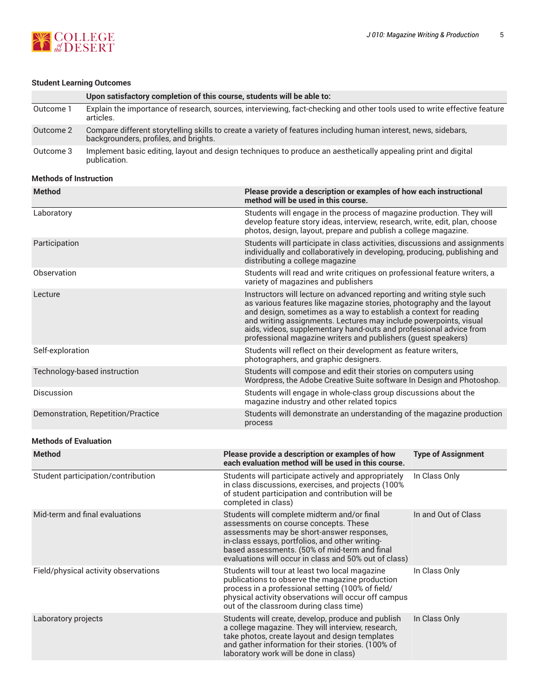

## **Student Learning Outcomes**

|           | Upon satisfactory completion of this course, students will be able to:                                                                                   |
|-----------|----------------------------------------------------------------------------------------------------------------------------------------------------------|
| Outcome 1 | Explain the importance of research, sources, interviewing, fact-checking and other tools used to write effective feature<br>articles.                    |
| Outcome 2 | Compare different storytelling skills to create a variety of features including human interest, news, sidebars,<br>backgrounders, profiles, and brights. |
| Outcome 3 | Implement basic editing, layout and design techniques to produce an aesthetically appealing print and digital<br>publication.                            |

#### **Methods of Instruction**

| <b>Method</b>                        | Please provide a description or examples of how each instructional<br>method will be used in this course.                                                                                                                                                                                                                                                                                                                       |                           |
|--------------------------------------|---------------------------------------------------------------------------------------------------------------------------------------------------------------------------------------------------------------------------------------------------------------------------------------------------------------------------------------------------------------------------------------------------------------------------------|---------------------------|
| Laboratory                           | Students will engage in the process of magazine production. They will<br>develop feature story ideas, interview, research, write, edit, plan, choose<br>photos, design, layout, prepare and publish a college magazine.                                                                                                                                                                                                         |                           |
| Participation                        | Students will participate in class activities, discussions and assignments<br>individually and collaboratively in developing, producing, publishing and<br>distributing a college magazine                                                                                                                                                                                                                                      |                           |
| Observation                          | Students will read and write critiques on professional feature writers, a<br>variety of magazines and publishers                                                                                                                                                                                                                                                                                                                |                           |
| Lecture                              | Instructors will lecture on advanced reporting and writing style such<br>as various features like magazine stories, photography and the layout<br>and design, sometimes as a way to establish a context for reading<br>and writing assignments. Lectures may include powerpoints, visual<br>aids, videos, supplementary hand-outs and professional advice from<br>professional magazine writers and publishers (guest speakers) |                           |
| Self-exploration                     | Students will reflect on their development as feature writers,<br>photographers, and graphic designers.                                                                                                                                                                                                                                                                                                                         |                           |
| Technology-based instruction         | Students will compose and edit their stories on computers using<br>Wordpress, the Adobe Creative Suite software In Design and Photoshop.                                                                                                                                                                                                                                                                                        |                           |
| <b>Discussion</b>                    | Students will engage in whole-class group discussions about the<br>magazine industry and other related topics                                                                                                                                                                                                                                                                                                                   |                           |
| Demonstration, Repetition/Practice   | Students will demonstrate an understanding of the magazine production<br>process                                                                                                                                                                                                                                                                                                                                                |                           |
| <b>Methods of Evaluation</b>         |                                                                                                                                                                                                                                                                                                                                                                                                                                 |                           |
| <b>Method</b>                        | Please provide a description or examples of how<br>each evaluation method will be used in this course.                                                                                                                                                                                                                                                                                                                          | <b>Type of Assignment</b> |
| Student participation/contribution   | Students will participate actively and appropriately<br>in class discussions, exercises, and projects (100%<br>of student participation and contribution will be<br>completed in class)                                                                                                                                                                                                                                         | In Class Only             |
| Mid-term and final evaluations       | Students will complete midterm and/or final<br>assessments on course concepts. These<br>assessments may be short-answer responses,<br>in-class essays, portfolios, and other writing-<br>based assessments. (50% of mid-term and final<br>evaluations will occur in class and 50% out of class)                                                                                                                                 | In and Out of Class       |
| Field/physical activity observations | Students will tour at least two local magazine<br>publications to observe the magazine production<br>process in a professional setting (100% of field/<br>physical activity observations will occur off campus<br>out of the classroom during class time)                                                                                                                                                                       | In Class Only             |
| Laboratory projects                  | Students will create, develop, produce and publish<br>a college magazine. They will interview, research,<br>take photos, create layout and design templates<br>and gather information for their stories. (100% of<br>laboratory work will be done in class)                                                                                                                                                                     | In Class Only             |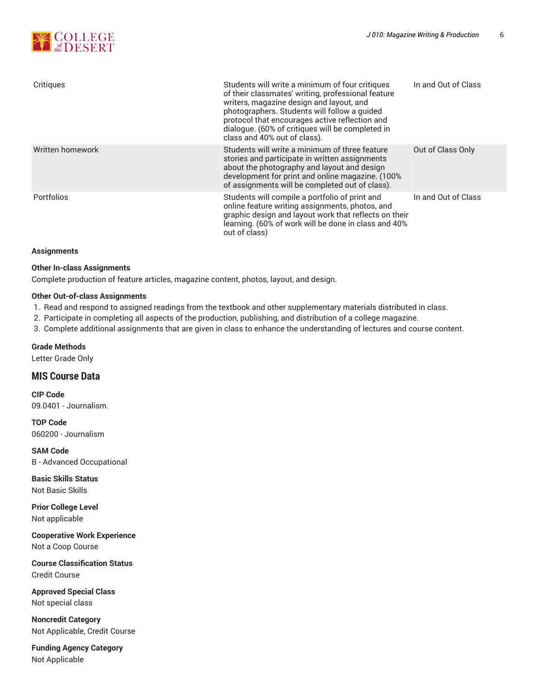| Critiques        | Students will write a minimum of four critiques<br>of their classmates' writing, professional feature<br>writers, magazine design and layout, and<br>photographers. Students will follow a guided<br>protocol that encourages active reflection and<br>dialogue. (60% of critiques will be completed in<br>class and 40% out of class). | In and Out of Class |
|------------------|-----------------------------------------------------------------------------------------------------------------------------------------------------------------------------------------------------------------------------------------------------------------------------------------------------------------------------------------|---------------------|
| Written homework | Students will write a minimum of three feature<br>stories and participate in written assignments<br>about the photography and layout and design<br>development for print and online magazine. (100%<br>of assignments will be completed out of class).                                                                                  | Out of Class Only   |
| Portfolios       | Students will compile a portfolio of print and<br>online feature writing assignments, photos, and<br>graphic design and layout work that reflects on their<br>learning. (60% of work will be done in class and 40%<br>out of class)                                                                                                     | In and Out of Class |

#### **Assignments**

#### **Other In-class Assignments**

Complete production of feature articles, magazine content, photos, layout, and design.

#### **Other Out-of-class Assignments**

1. Read and respond to assigned readings from the textbook and other supplementary materials distributed in class.

2. Participate in completing all aspects of the production, publishing, and distribution of a college magazine.

3. Complete additional assignments that are given in class to enhance the understanding of lectures and course content.

#### **Grade Methods**

Letter Grade Only

## **MIS Course Data**

**CIP Code** 09.0401 - Journalism.

**TOP Code** 060200 - Journalism

**SAM Code** B - Advanced Occupational

**Basic Skills Status** Not Basic Skills

**Prior College Level** Not applicable

**Cooperative Work Experience** Not a Coop Course

**Course Classification Status** Credit Course

**Approved Special Class** Not special class

**Noncredit Category** Not Applicable, Credit Course

**Funding Agency Category** Not Applicable